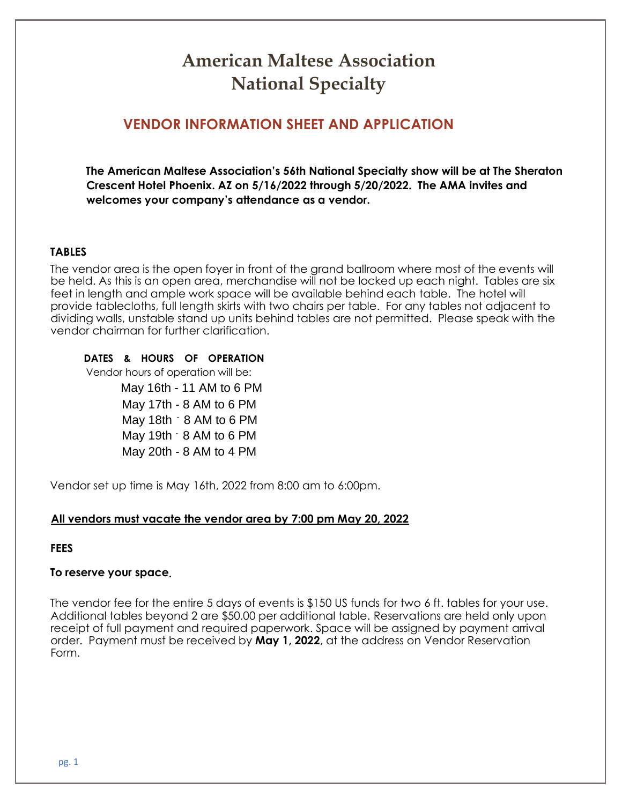## **American Maltese Association National Specialty**

## **VENDOR INFORMATION SHEET AND APPLICATION**

**The American Maltese Association's 56th National Specialty show will be at The Sheraton Crescent Hotel Phoenix. AZ on 5/16/2022 through 5/20/2022. The AMA invites and welcomes your company's attendance as a vendor.** 

#### **TABLES**

The vendor area is the open foyer in front of the grand ballroom where most of the events will be held. As this is an open area, merchandise will not be locked up each night. Tables are six feet in length and ample work space will be available behind each table. The hotel will provide tablecloths, full length skirts with two chairs per table. For any tables not adjacent to dividing walls, unstable stand up units behind tables are not permitted. Please speak with the vendor chairman for further clarification.

**DATES & HOURS OF OPERATION** 

Vendor hours of operation will be:

 May 16th - 11 AM to 6 PM May 17th - 8 AM to 6 PM May 18th - 8 AM to 6 PM May 19th - 8 AM to 6 PM May 20th - 8 AM to 4 PM

Vendor set up time is May 16th, 2022 from 8:00 am to 6:00pm.

#### **All vendors must vacate the vendor area by 7:00 pm May 20, 2022**

#### **FEES**

#### **To reserve your space.**

The vendor fee for the entire 5 days of events is \$150 US funds for two 6 ft. tables for your use. Additional tables beyond 2 are \$50.00 per additional table. Reservations are held only upon receipt of full payment and required paperwork. Space will be assigned by payment arrival order. Payment must be received by **May 1, 2022**, at the address on Vendor Reservation Form.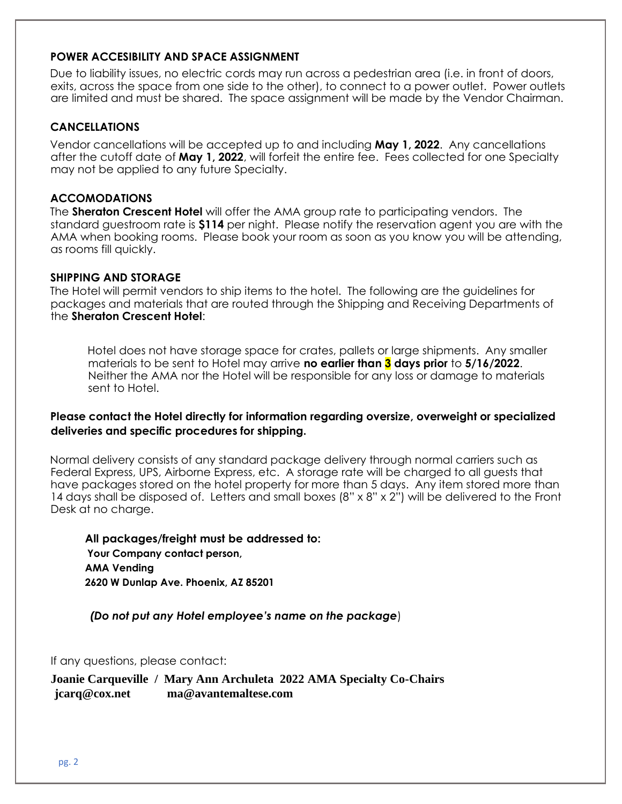#### **POWER ACCESIBILITY AND SPACE ASSIGNMENT**

Due to liability issues, no electric cords may run across a pedestrian area (i.e. in front of doors, exits, across the space from one side to the other), to connect to a power outlet. Power outlets are limited and must be shared. The space assignment will be made by the Vendor Chairman.

#### **CANCELLATIONS**

Vendor cancellations will be accepted up to and including **May 1, 2022**. Any cancellations after the cutoff date of **May 1, 2022**, will forfeit the entire fee. Fees collected for one Specialty may not be applied to any future Specialty.

#### **ACCOMODATIONS**

The **Sheraton Crescent Hotel** will offer the AMA group rate to participating vendors. The standard guestroom rate is **\$114** per night. Please notify the reservation agent you are with the AMA when booking rooms. Please book your room as soon as you know you will be attending, as rooms fill quickly.

#### **SHIPPING AND STORAGE**

The Hotel will permit vendors to ship items to the hotel. The following are the guidelines for packages and materials that are routed through the Shipping and Receiving Departments of the **Sheraton Crescent Hotel**:

Hotel does not have storage space for crates, pallets or large shipments. Any smaller materials to be sent to Hotel may arrive **no earlier than 3 days prior** to **5/16/2022**. Neither the AMA nor the Hotel will be responsible for any loss or damage to materials sent to Hotel.

#### **Please contact the Hotel directly for information regarding oversize, overweight or specialized deliveries and specific procedures for shipping.**

Normal delivery consists of any standard package delivery through normal carriers such as Federal Express, UPS, Airborne Express, etc. A storage rate will be charged to all guests that have packages stored on the hotel property for more than 5 days. Any item stored more than 14 days shall be disposed of. Letters and small boxes (8" x 8" x 2") will be delivered to the Front Desk at no charge.

**All packages/freight must be addressed to: Your Company contact person, AMA Vending 2620 W Dunlap Ave. Phoenix, AZ 85201**

*(Do not put any Hotel employee's name on the package*)

If any questions, please contact:

**Joanie Carqueville / Mary Ann Archuleta 2022 AMA Specialty Co-Chairs jcarq@cox.net ma@avantemaltese.com**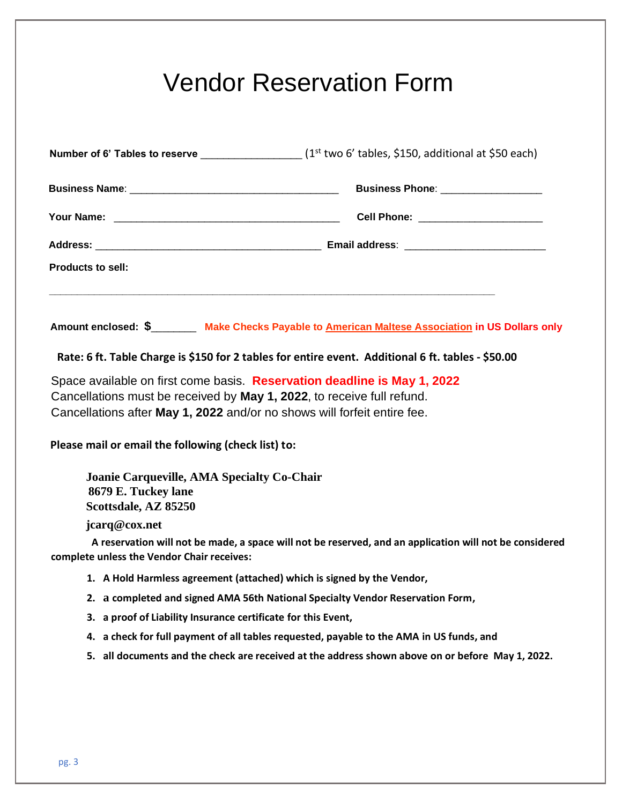# Vendor Reservation Form

| Number of 6' Tables to reserve ____________________(1 <sup>st</sup> two 6' tables, \$150, additional at \$50 each)                                                                                                             |                                                                                                         |
|--------------------------------------------------------------------------------------------------------------------------------------------------------------------------------------------------------------------------------|---------------------------------------------------------------------------------------------------------|
|                                                                                                                                                                                                                                |                                                                                                         |
|                                                                                                                                                                                                                                |                                                                                                         |
|                                                                                                                                                                                                                                |                                                                                                         |
| <b>Products to sell:</b><br><u> 1989 - Johann Barn, mars ar breithinn ar breithinn an dùthchan ann an t-ann an t-ann an t-ann an t-ann an t-a</u>                                                                              |                                                                                                         |
|                                                                                                                                                                                                                                | Amount enclosed: \$________ Make Checks Payable to American Maltese Association in US Dollars only      |
| Rate: 6 ft. Table Charge is \$150 for 2 tables for entire event. Additional 6 ft. tables - \$50.00                                                                                                                             |                                                                                                         |
| Space available on first come basis. Reservation deadline is May 1, 2022<br>Cancellations must be received by May 1, 2022, to receive full refund.<br>Cancellations after May 1, 2022 and/or no shows will forfeit entire fee. |                                                                                                         |
| Please mail or email the following (check list) to:                                                                                                                                                                            |                                                                                                         |
| <b>Joanie Carqueville, AMA Specialty Co-Chair</b><br>8679 E. Tuckey lane<br>Scottsdale, AZ 85250                                                                                                                               |                                                                                                         |
| jcarq@cox.net                                                                                                                                                                                                                  |                                                                                                         |
| complete unless the Vendor Chair receives:                                                                                                                                                                                     | A reservation will not be made, a space will not be reserved, and an application will not be considered |
| 1. A Hold Harmless agreement (attached) which is signed by the Vendor,                                                                                                                                                         |                                                                                                         |
| 2. a completed and signed AMA 56th National Specialty Vendor Reservation Form,                                                                                                                                                 |                                                                                                         |
| 3. a proof of Liability Insurance certificate for this Event,                                                                                                                                                                  |                                                                                                         |
| 4.                                                                                                                                                                                                                             | a check for full payment of all tables requested, payable to the AMA in US funds, and                   |
| 5. all documents and the check are received at the address shown above on or before May 1, 2022.                                                                                                                               |                                                                                                         |
|                                                                                                                                                                                                                                |                                                                                                         |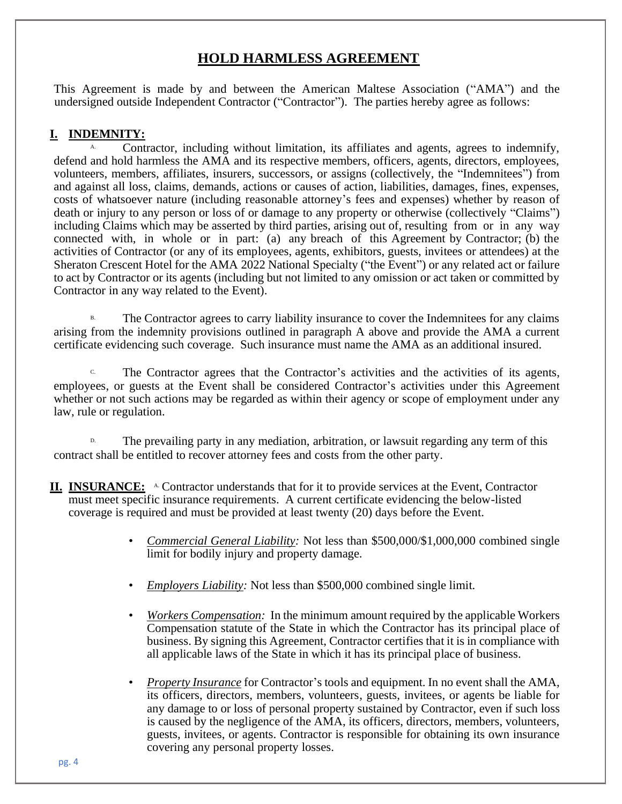### **HOLD HARMLESS AGREEMENT**

This Agreement is made by and between the American Maltese Association ("AMA") and the undersigned outside Independent Contractor ("Contractor"). The parties hereby agree as follows:

#### **I. INDEMNITY:**

Contractor, including without limitation, its affiliates and agents, agrees to indemnify, defend and hold harmless the AMA and its respective members, officers, agents, directors, employees, volunteers, members, affiliates, insurers, successors, or assigns (collectively, the "Indemnitees") from and against all loss, claims, demands, actions or causes of action, liabilities, damages, fines, expenses, costs of whatsoever nature (including reasonable attorney's fees and expenses) whether by reason of death or injury to any person or loss of or damage to any property or otherwise (collectively "Claims") including Claims which may be asserted by third parties, arising out of, resulting from or in any way connected with, in whole or in part: (a) any breach of this Agreement by Contractor; (b) the activities of Contractor (or any of its employees, agents, exhibitors, guests, invitees or attendees) at the Sheraton Crescent Hotel for the AMA 2022 National Specialty ("the Event") or any related act or failure to act by Contractor or its agents (including but not limited to any omission or act taken or committed by Contractor in any way related to the Event).

The Contractor agrees to carry liability insurance to cover the Indemnitees for any claims arising from the indemnity provisions outlined in paragraph A above and provide the AMA a current certificate evidencing such coverage. Such insurance must name the AMA as an additional insured.

<sup>c.</sup> The Contractor agrees that the Contractor's activities and the activities of its agents, employees, or guests at the Event shall be considered Contractor's activities under this Agreement whether or not such actions may be regarded as within their agency or scope of employment under any law, rule or regulation.

The prevailing party in any mediation, arbitration, or lawsuit regarding any term of this contract shall be entitled to recover attorney fees and costs from the other party.

- **II. INSURANCE:** A Contractor understands that for it to provide services at the Event, Contractor must meet specific insurance requirements. A current certificate evidencing the below-listed coverage is required and must be provided at least twenty (20) days before the Event.
	- *Commercial General Liability:* Not less than \$500,000/\$1,000,000 combined single limit for bodily injury and property damage.
	- *Employers Liability:* Not less than \$500,000 combined single limit.
	- *Workers Compensation:* In the minimum amount required by the applicable Workers Compensation statute of the State in which the Contractor has its principal place of business. By signing this Agreement, Contractor certifies that it is in compliance with all applicable laws of the State in which it has its principal place of business.
	- *Property Insurance* for Contractor's tools and equipment. In no event shall the AMA, its officers, directors, members, volunteers, guests, invitees, or agents be liable for any damage to or loss of personal property sustained by Contractor, even if such loss is caused by the negligence of the AMA, its officers, directors, members, volunteers, guests, invitees, or agents. Contractor is responsible for obtaining its own insurance covering any personal property losses.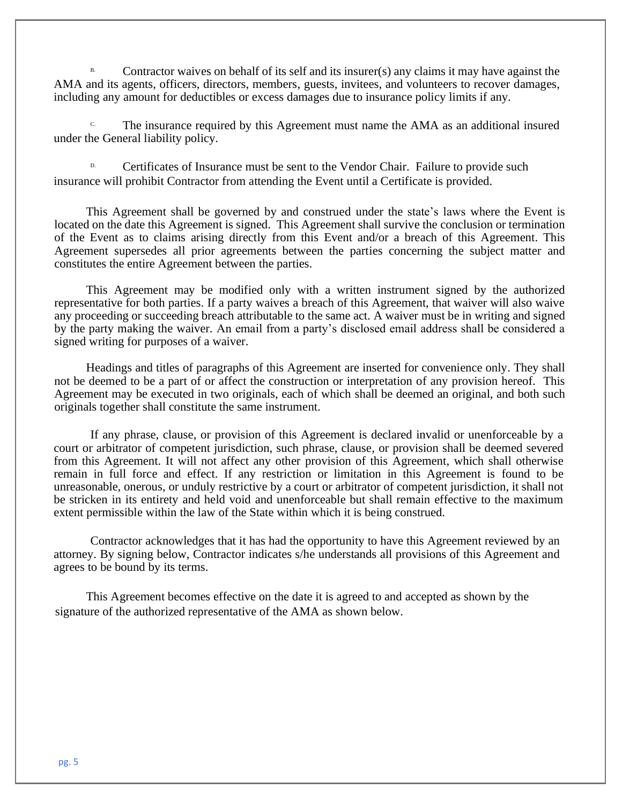Contractor waives on behalf of its self and its insurer(s) any claims it may have against the AMA and its agents, officers, directors, members, guests, invitees, and volunteers to recover damages, including any amount for deductibles or excess damages due to insurance policy limits if any.

The insurance required by this Agreement must name the AMA as an additional insured under the General liability policy.

Certificates of Insurance must be sent to the Vendor Chair. Failure to provide such insurance will prohibit Contractor from attending the Event until a Certificate is provided.

This Agreement shall be governed by and construed under the state's laws where the Event is located on the date this Agreement is signed. This Agreement shall survive the conclusion or termination of the Event as to claims arising directly from this Event and/or a breach of this Agreement. This Agreement supersedes all prior agreements between the parties concerning the subject matter and constitutes the entire Agreement between the parties.

This Agreement may be modified only with a written instrument signed by the authorized representative for both parties. If a party waives a breach of this Agreement, that waiver will also waive any proceeding or succeeding breach attributable to the same act. A waiver must be in writing and signed by the party making the waiver. An email from a party's disclosed email address shall be considered a signed writing for purposes of a waiver.

Headings and titles of paragraphs of this Agreement are inserted for convenience only. They shall not be deemed to be a part of or affect the construction or interpretation of any provision hereof. This Agreement may be executed in two originals, each of which shall be deemed an original, and both such originals together shall constitute the same instrument.

If any phrase, clause, or provision of this Agreement is declared invalid or unenforceable by a court or arbitrator of competent jurisdiction, such phrase, clause, or provision shall be deemed severed from this Agreement. It will not affect any other provision of this Agreement, which shall otherwise remain in full force and effect. If any restriction or limitation in this Agreement is found to be unreasonable, onerous, or unduly restrictive by a court or arbitrator of competent jurisdiction, it shall not be stricken in its entirety and held void and unenforceable but shall remain effective to the maximum extent permissible within the law of the State within which it is being construed.

Contractor acknowledges that it has had the opportunity to have this Agreement reviewed by an attorney. By signing below, Contractor indicates s/he understands all provisions of this Agreement and agrees to be bound by its terms.

This Agreement becomes effective on the date it is agreed to and accepted as shown by the signature of the authorized representative of the AMA as shown below.